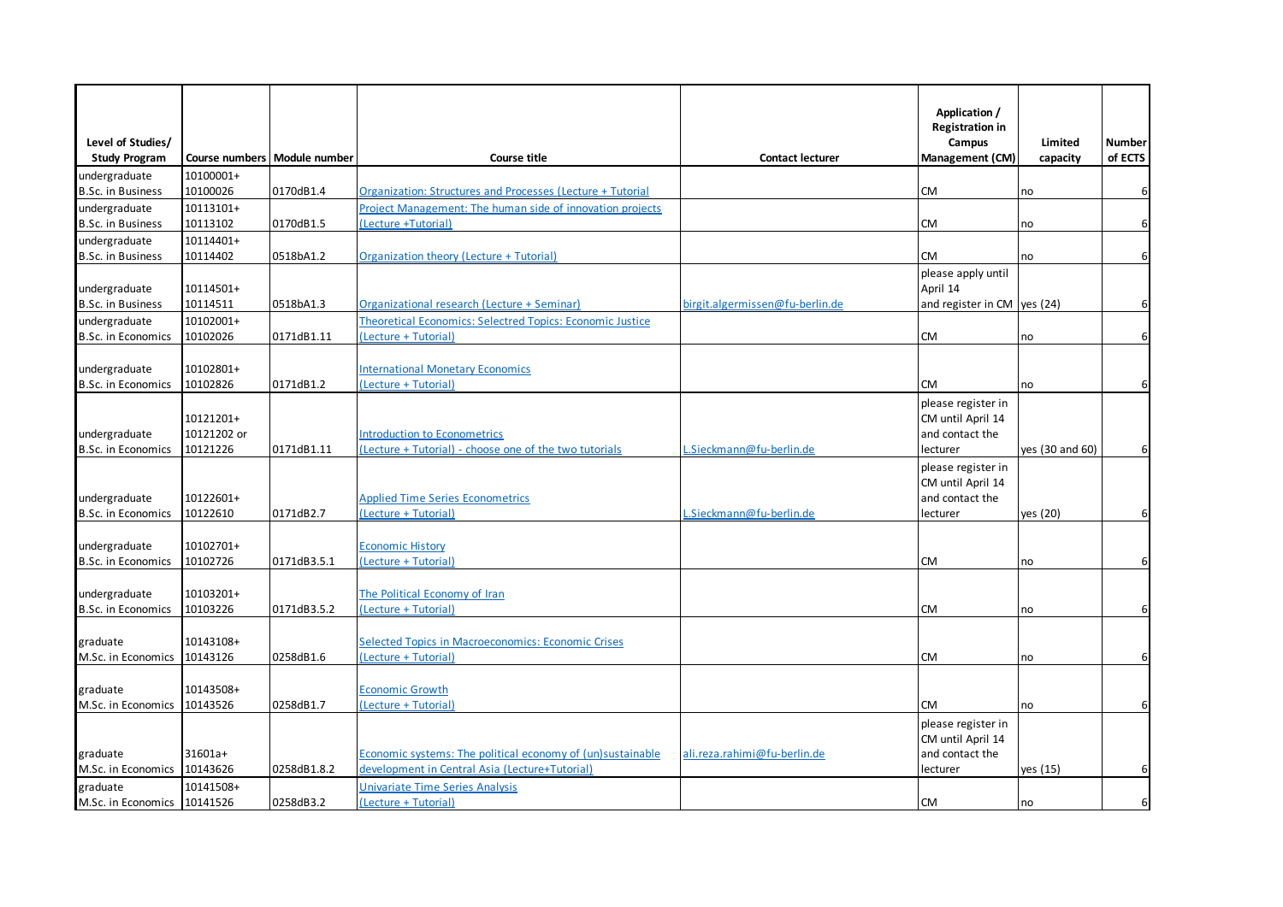|                                            |                         |                                |                                                                                        |                                 | Application /                           |                 |                   |
|--------------------------------------------|-------------------------|--------------------------------|----------------------------------------------------------------------------------------|---------------------------------|-----------------------------------------|-----------------|-------------------|
|                                            |                         |                                |                                                                                        |                                 | <b>Registration in</b>                  |                 |                   |
| Level of Studies/                          |                         | Course numbers   Module number | <b>Course title</b>                                                                    | <b>Contact lecturer</b>         | Campus<br><b>Management (CM)</b>        | Limited         | Number<br>of ECTS |
| <b>Study Program</b>                       | 10100001+               |                                |                                                                                        |                                 |                                         | capacity        |                   |
| undergraduate<br><b>B.Sc. in Business</b>  | 10100026                | 0170dB1.4                      | Organization: Structures and Processes (Lecture + Tutorial                             |                                 | <b>CM</b>                               | no              | 6                 |
| undergraduate                              | 10113101+               |                                | Project Management: The human side of innovation projects                              |                                 |                                         |                 |                   |
| <b>B.Sc. in Business</b>                   | 10113102                | 0170dB1.5                      | (Lecture +Tutorial)                                                                    |                                 | <b>CM</b>                               | no              | $6 \overline{6}$  |
| undergraduate                              | 10114401+               |                                |                                                                                        |                                 |                                         |                 |                   |
| <b>B.Sc. in Business</b>                   | 10114402                | 0518bA1.2                      | Organization theory (Lecture + Tutorial)                                               |                                 | <b>CM</b>                               | no              | $6 \overline{6}$  |
|                                            |                         |                                |                                                                                        |                                 | please apply until                      |                 |                   |
| undergraduate                              | 10114501+               |                                |                                                                                        |                                 | April 14                                |                 |                   |
| <b>B.Sc. in Business</b>                   | 10114511                | 0518bA1.3                      | Organizational research (Lecture + Seminar)                                            | birgit.algermissen@fu-berlin.de | and register in CM yes $(24)$           |                 | 6                 |
| undergraduate                              | 10102001+               |                                | Theoretical Economics: Selectred Topics: Economic Justice                              |                                 |                                         |                 |                   |
| <b>B.Sc. in Economics</b>                  | 10102026                | 0171dB1.11                     | (Lecture + Tutorial)                                                                   |                                 | <b>CM</b>                               | no              | 6                 |
|                                            |                         |                                |                                                                                        |                                 |                                         |                 |                   |
| undergraduate                              | 10102801+               |                                | <b>International Monetary Economics</b>                                                |                                 |                                         |                 |                   |
| <b>B.Sc. in Economics</b>                  | 10102826                | 0171dB1.2                      | (Lecture + Tutorial)                                                                   |                                 | <b>CM</b>                               | no              | 6                 |
|                                            |                         |                                |                                                                                        |                                 | please register in                      |                 |                   |
|                                            | 10121201+               |                                |                                                                                        |                                 | CM until April 14                       |                 |                   |
| undergraduate<br><b>B.Sc. in Economics</b> | 10121202 or<br>10121226 | 0171dB1.11                     | Introduction to Econometrics<br>(Lecture + Tutorial) - choose one of the two tutorials | L.Sieckmann@fu-berlin.de        | and contact the<br>lecturer             | yes (30 and 60) | 6                 |
|                                            |                         |                                |                                                                                        |                                 |                                         |                 |                   |
|                                            |                         |                                |                                                                                        |                                 | please register in<br>CM until April 14 |                 |                   |
| undergraduate                              | 10122601+               |                                | <b>Applied Time Series Econometrics</b>                                                |                                 | and contact the                         |                 |                   |
| <b>B.Sc. in Economics</b>                  | 10122610                | 0171dB2.7                      | (Lecture + Tutorial)                                                                   | Sieckmann@fu-berlin.de          | lecturer                                | yes (20)        | 6                 |
|                                            |                         |                                |                                                                                        |                                 |                                         |                 |                   |
| undergraduate                              | 10102701+               |                                | <b>Economic History</b>                                                                |                                 |                                         |                 |                   |
| <b>B.Sc. in Economics</b>                  | 10102726                | 0171dB3.5.1                    | (Lecture + Tutorial)                                                                   |                                 | <b>CM</b>                               | no              | 6                 |
|                                            |                         |                                |                                                                                        |                                 |                                         |                 |                   |
| undergraduate                              | 10103201+               |                                | The Political Economy of Iran                                                          |                                 |                                         |                 |                   |
| <b>B.Sc. in Economics</b>                  | 10103226                | 0171dB3.5.2                    | (Lecture + Tutorial)                                                                   |                                 | <b>CM</b>                               | no              | 6                 |
|                                            |                         |                                |                                                                                        |                                 |                                         |                 |                   |
| graduate                                   | 10143108+               |                                | <b>Selected Topics in Macroeconomics: Economic Crises</b>                              |                                 |                                         |                 |                   |
| M.Sc. in Economics                         | 10143126                | 0258dB1.6                      | (Lecture + Tutorial)                                                                   |                                 | <b>CM</b>                               | no              | 6                 |
|                                            |                         |                                |                                                                                        |                                 |                                         |                 |                   |
| graduate<br>M.Sc. in Economics             | 10143508+<br>10143526   | 0258dB1.7                      | <b>Economic Growth</b><br>Lecture + Tutorial                                           |                                 | <b>CM</b>                               | no              | 6                 |
|                                            |                         |                                |                                                                                        |                                 |                                         |                 |                   |
|                                            |                         |                                |                                                                                        |                                 | please register in<br>CM until April 14 |                 |                   |
| graduate                                   | 31601a+                 |                                | Economic systems: The political economy of (un)sustainable                             | ali.reza.rahimi@fu-berlin.de    | and contact the                         |                 |                   |
| M.Sc. in Economics                         | 10143626                | 0258dB1.8.2                    | development in Central Asia (Lecture+Tutorial)                                         |                                 | lecturer                                | yes (15)        | 6                 |
| graduate                                   | 10141508+               |                                | <b>Jnivariate Time Series Analysis</b>                                                 |                                 |                                         |                 |                   |
| M.Sc. in Economics 10141526                |                         | 0258dB3.2                      | (Lecture + Tutorial)                                                                   |                                 | <b>CM</b>                               | no              | 6                 |